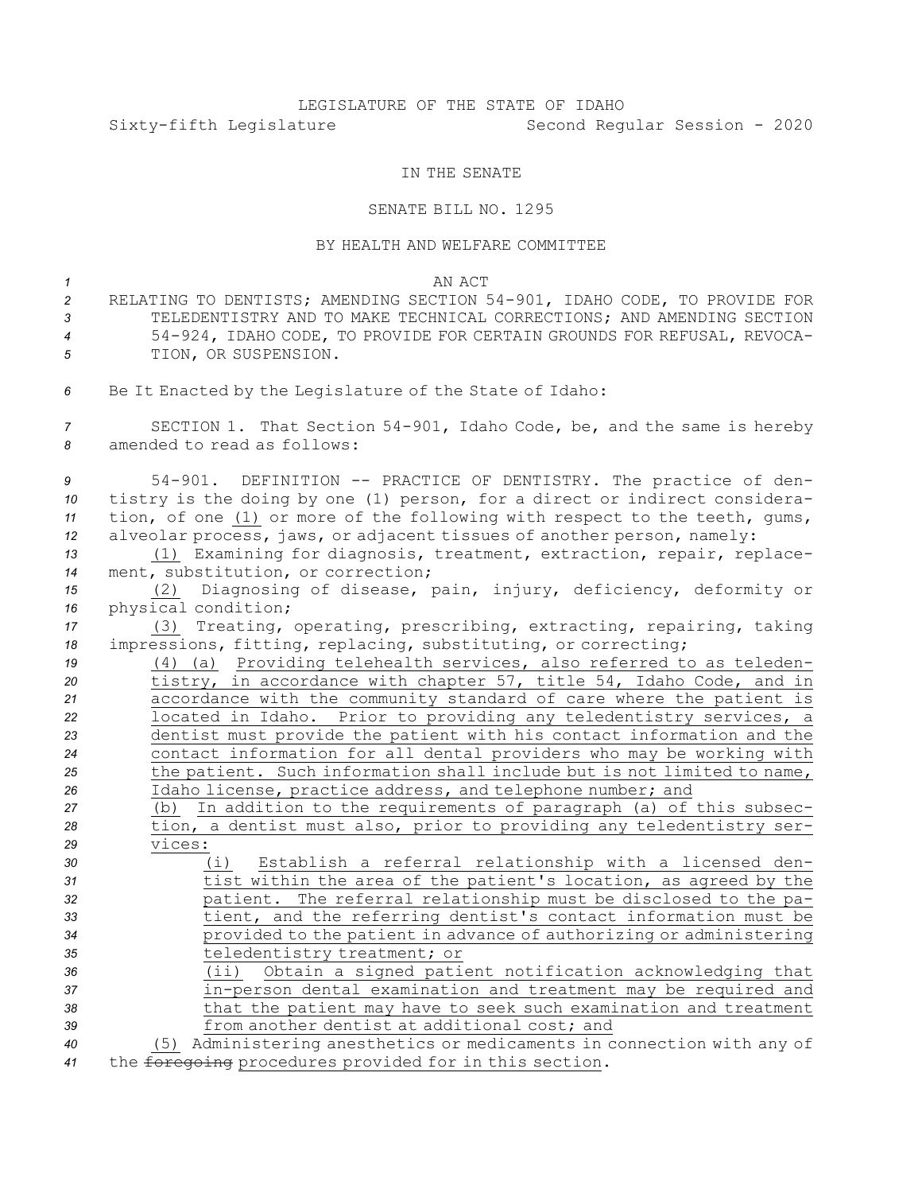# LEGISLATURE OF THE STATE OF IDAHO Sixty-fifth Legislature Second Regular Session - 2020

## IN THE SENATE

# SENATE BILL NO. 1295

## BY HEALTH AND WELFARE COMMITTEE

## *1* AN ACT

- *<sup>2</sup>* RELATING TO DENTISTS; AMENDING SECTION 54-901, IDAHO CODE, TO PROVIDE FOR *3* TELEDENTISTRY AND TO MAKE TECHNICAL CORRECTIONS; AND AMENDING SECTION *<sup>4</sup>* 54-924, IDAHO CODE, TO PROVIDE FOR CERTAIN GROUNDS FOR REFUSAL, REVOCA-*5* TION, OR SUSPENSION.
- *<sup>6</sup>* Be It Enacted by the Legislature of the State of Idaho:

*<sup>7</sup>* SECTION 1. That Section 54-901, Idaho Code, be, and the same is hereby *8* amended to read as follows:

 54-901. DEFINITION -- PRACTICE OF DENTISTRY. The practice of den- tistry is the doing by one (1) person, for <sup>a</sup> direct or indirect considera- tion, of one (1) or more of the following with respect to the teeth, gums, alveolar process, jaws, or adjacent tissues of another person, namely:

*<sup>13</sup>* (1) Examining for diagnosis, treatment, extraction, repair, replace-*<sup>14</sup>* ment, substitution, or correction;

*<sup>15</sup>* (2) Diagnosing of disease, pain, injury, deficiency, deformity or *<sup>16</sup>* physical condition;

*<sup>17</sup>* (3) Treating, operating, prescribing, extracting, repairing, taking *<sup>18</sup>* impressions, fitting, replacing, substituting, or correcting;

 (4) (a) Providing telehealth services, also referred to as teleden- tistry, in accordance with chapter 57, title 54, Idaho Code, and in accordance with the community standard of care where the patient is located in Idaho. Prior to providing any teledentistry services, <sup>a</sup> dentist must provide the patient with his contact information and the contact information for all dental providers who may be working with the patient. Such information shall include but is not limited to name, Idaho license, practice address, and telephone number; and (b) In addition to the requirements of paragraph (a) of this subsec- tion, <sup>a</sup> dentist must also, prior to providing any teledentistry ser-*29* vices:

 (i) Establish <sup>a</sup> referral relationship with <sup>a</sup> licensed den- tist within the area of the patient's location, as agreed by the patient. The referral relationship must be disclosed to the pa- tient, and the referring dentist's contact information must be provided to the patient in advance of authorizing or administering teledentistry treatment; or

 (ii) Obtain <sup>a</sup> signed patient notification acknowledging that in-person dental examination and treatment may be required and that the patient may have to seek such examination and treatment from another dentist at additional cost; and

*<sup>40</sup>* (5) Administering anesthetics or medicaments in connection with any of *<sup>41</sup>* the foregoing procedures provided for in this section.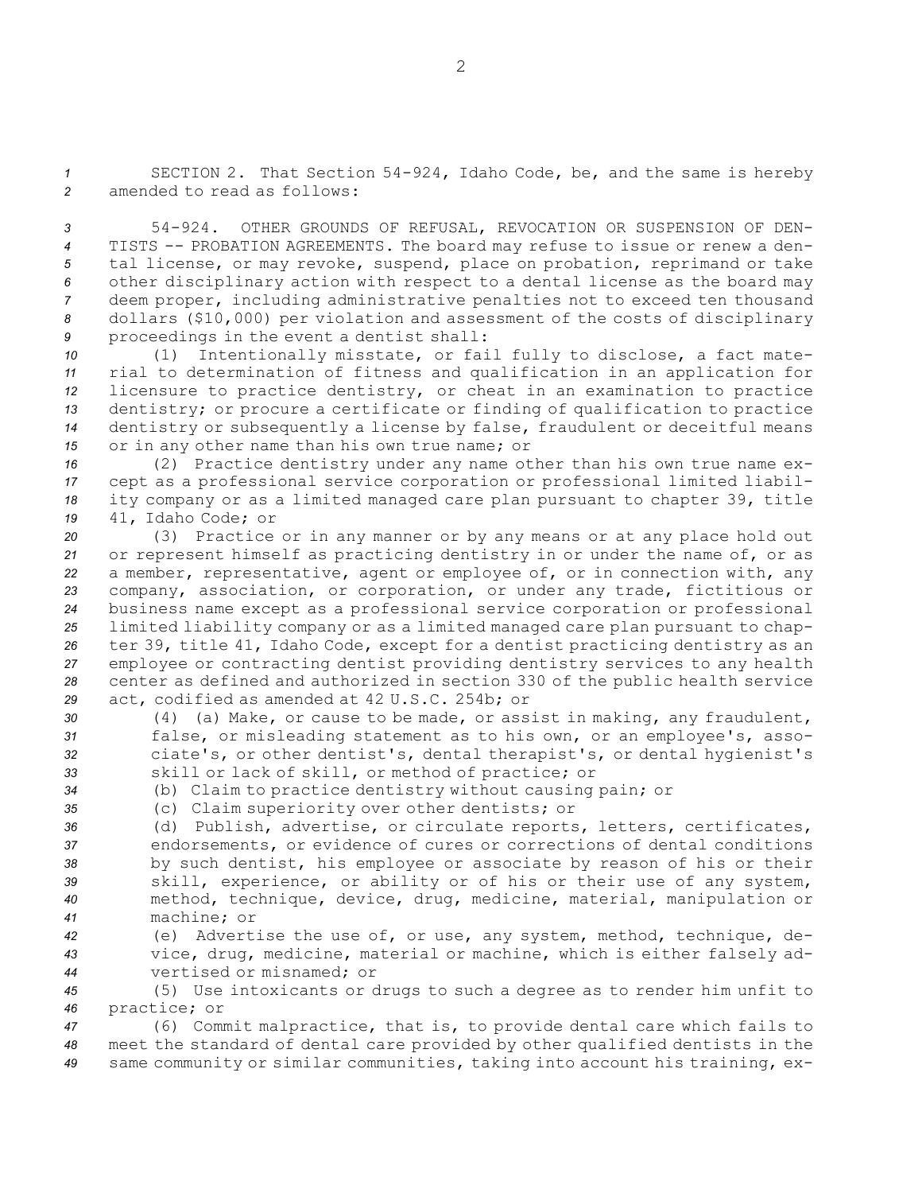*<sup>1</sup>* SECTION 2. That Section 54-924, Idaho Code, be, and the same is hereby *2* amended to read as follows:

 54-924. OTHER GROUNDS OF REFUSAL, REVOCATION OR SUSPENSION OF DEN- TISTS -- PROBATION AGREEMENTS. The board may refuse to issue or renew <sup>a</sup> den- tal license, or may revoke, suspend, place on probation, reprimand or take other disciplinary action with respect to <sup>a</sup> dental license as the board may deem proper, including administrative penalties not to exceed ten thousand dollars (\$10,000) per violation and assessment of the costs of disciplinary proceedings in the event <sup>a</sup> dentist shall:

 (1) Intentionally misstate, or fail fully to disclose, <sup>a</sup> fact mate- rial to determination of fitness and qualification in an application for licensure to practice dentistry, or cheat in an examination to practice dentistry; or procure <sup>a</sup> certificate or finding of qualification to practice dentistry or subsequently <sup>a</sup> license by false, fraudulent or deceitful means or in any other name than his own true name; or

 (2) Practice dentistry under any name other than his own true name ex- cept as <sup>a</sup> professional service corporation or professional limited liabil- ity company or as <sup>a</sup> limited managed care plan pursuant to chapter 39, title 41, Idaho Code; or

 (3) Practice or in any manner or by any means or at any place hold out or represent himself as practicing dentistry in or under the name of, or as <sup>a</sup> member, representative, agent or employee of, or in connection with, any company, association, or corporation, or under any trade, fictitious or business name except as <sup>a</sup> professional service corporation or professional limited liability company or as <sup>a</sup> limited managed care plan pursuant to chap- ter 39, title 41, Idaho Code, except for <sup>a</sup> dentist practicing dentistry as an employee or contracting dentist providing dentistry services to any health center as defined and authorized in section 330 of the public health service act, codified as amended at 42 U.S.C. 254b; or

- *<sup>30</sup>* (4) (a) Make, or cause to be made, or assist in making, any fraudulent, *<sup>31</sup>* false, or misleading statement as to his own, or an employee's, asso-*<sup>32</sup>* ciate's, or other dentist's, dental therapist's, or dental hygienist's *<sup>33</sup>* skill or lack of skill, or method of practice; or
- *<sup>34</sup>* (b) Claim to practice dentistry without causing pain; or
- *<sup>35</sup>* (c) Claim superiority over other dentists; or
- *<sup>36</sup>* (d) Publish, advertise, or circulate reports, letters, certificates, *<sup>37</sup>* endorsements, or evidence of cures or corrections of dental conditions *<sup>38</sup>* by such dentist, his employee or associate by reason of his or their *<sup>39</sup>* skill, experience, or ability or of his or their use of any system, *<sup>40</sup>* method, technique, device, drug, medicine, material, manipulation or *41* machine; or
- *<sup>42</sup>* (e) Advertise the use of, or use, any system, method, technique, de-*<sup>43</sup>* vice, drug, medicine, material or machine, which is either falsely ad-*44* vertised or misnamed; or

*<sup>45</sup>* (5) Use intoxicants or drugs to such <sup>a</sup> degree as to render him unfit to *<sup>46</sup>* practice; or

*<sup>47</sup>* (6) Commit malpractice, that is, to provide dental care which fails to *<sup>48</sup>* meet the standard of dental care provided by other qualified dentists in the *<sup>49</sup>* same community or similar communities, taking into account his training, ex-